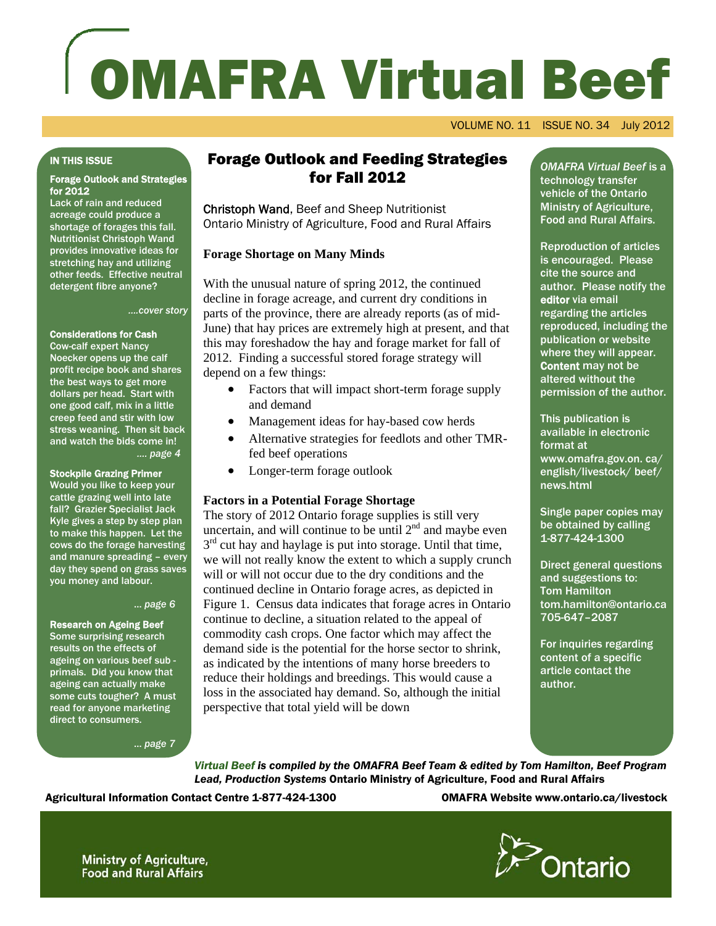# OMAFRA Virtual Beef

VOLUME NO. 11 ISSUE NO. 34 July 2012

#### IN THIS ISSUE

# Forage Outlook and Strategies for 2012

Lack of rain and reduced acreage could produce a shortage of forages this fall. Nutritionist Christoph Wand provides innovative ideas for stretching hay and utilizing other feeds. Effective neutral detergent fibre anyone?

*….cover story*

# Considerations for Cash

Cow-calf expert Nancy Noecker opens up the calf profit recipe book and shares the best ways to get more dollars per head. Start with one good calf, mix in a little creep feed and stir with low stress weaning. Then sit back and watch the bids come in! *…. page 4* 

#### Stockpile Grazing Primer

Would you like to keep your cattle grazing well into late fall? Grazier Specialist Jack Kyle gives a step by step plan to make this happen. Let the cows do the forage harvesting and manure spreading – every day they spend on grass saves you money and labour.

#### … *page 6*

#### Research on Ageing Beef

Some surprising research results on the effects of ageing on various beef sub primals. Did you know that ageing can actually make some cuts tougher? A must read for anyone marketing direct to consumers.

… *page 7* 

# Forage Outlook and Feeding Strategies for Fall 2012

Christoph Wand, Beef and Sheep Nutritionist Ontario Ministry of Agriculture, Food and Rural Affairs

## **Forage Shortage on Many Minds**

With the unusual nature of spring 2012, the continued decline in forage acreage, and current dry conditions in parts of the province, there are already reports (as of mid-June) that hay prices are extremely high at present, and that this may foreshadow the hay and forage market for fall of 2012. Finding a successful stored forage strategy will depend on a few things:

- Factors that will impact short-term forage supply and demand
- Management ideas for hay-based cow herds
- Alternative strategies for feedlots and other TMRfed beef operations
- Longer-term forage outlook

# **Factors in a Potential Forage Shortage**

The story of 2012 Ontario forage supplies is still very uncertain, and will continue to be until  $2<sup>nd</sup>$  and maybe even  $3<sup>rd</sup>$  cut hay and haylage is put into storage. Until that time, we will not really know the extent to which a supply crunch will or will not occur due to the dry conditions and the continued decline in Ontario forage acres, as depicted in Figure 1. Census data indicates that forage acres in Ontario continue to decline, a situation related to the appeal of commodity cash crops. One factor which may affect the demand side is the potential for the horse sector to shrink, as indicated by the intentions of many horse breeders to reduce their holdings and breedings. This would cause a loss in the associated hay demand. So, although the initial perspective that total yield will be down

*OMAFRA Virtual Beef* is a technology transfer vehicle of the Ontario Ministry of Agriculture, Food and Rural Affairs.

Reproduction of articles is encouraged. Please cite the source and author. Please notify the editor via email regarding the articles reproduced, including the publication or website where they will appear. Content may not be altered without the permission of the author.

This publication is available in electronic format at www.omafra.gov.on. ca/ english/livestock/ beef/ news.html

Single paper copies may be obtained by calling 1-877-424-1300

Direct general questions and suggestions to: Tom Hamilton tom.hamilton@ontario.ca 705-647–2087

For inquiries regarding content of a specific article contact the author.

*Virtual Beef is compiled by the OMAFRA Beef Team & edited by Tom Hamilton, Beef Program Lead, Production Systems* Ontario Ministry of Agriculture, Food and Rural Affairs

Agricultural Information Contact Centre 1-877-424-1300 OMAFRA Website www.ontario.ca/livestock



1

**Ministry of Agriculture, Food and Rural Affairs**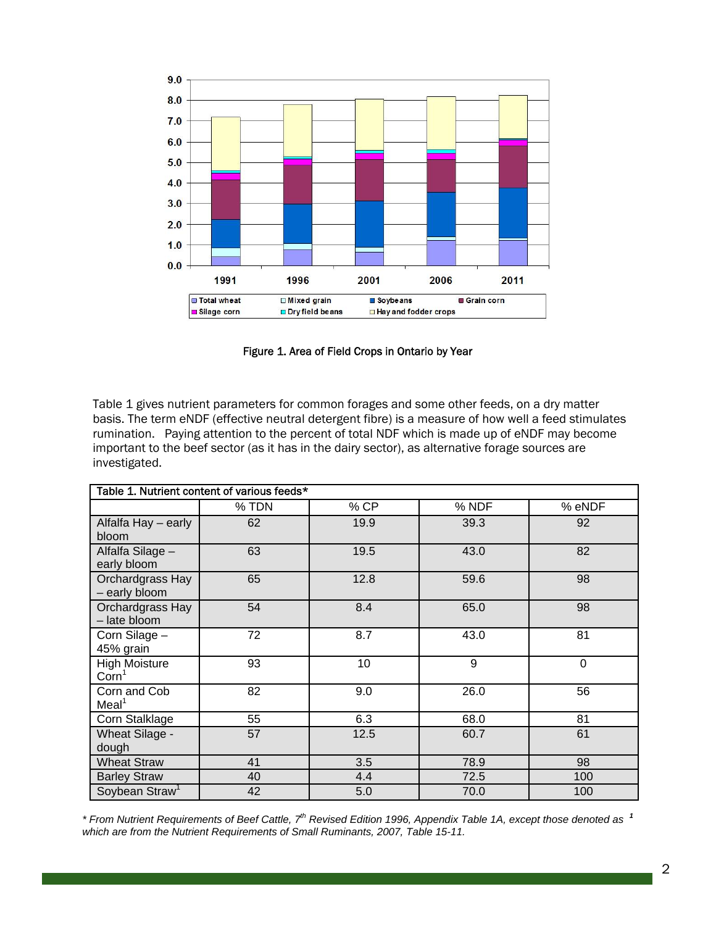

Figure 1. Area of Field Crops in Ontario by Year

Table 1 gives nutrient parameters for common forages and some other feeds, on a dry matter basis. The term eNDF (effective neutral detergent fibre) is a measure of how well a feed stimulates rumination. Paying attention to the percent of total NDF which is made up of eNDF may become important to the beef sector (as it has in the dairy sector), as alternative forage sources are investigated.

| Table 1. Nutrient content of various feeds* |       |      |       |                |
|---------------------------------------------|-------|------|-------|----------------|
|                                             | % TDN | % CP | % NDF | % eNDF         |
| Alfalfa Hay - early<br>bloom                | 62    | 19.9 | 39.3  | 92             |
| Alfalfa Silage -<br>early bloom             | 63    | 19.5 | 43.0  | 82             |
| Orchardgrass Hay<br>- early bloom           | 65    | 12.8 | 59.6  | 98             |
| Orchardgrass Hay<br>- late bloom            | 54    | 8.4  | 65.0  | 98             |
| Corn Silage -<br>45% grain                  | 72    | 8.7  | 43.0  | 81             |
| <b>High Moisture</b><br>Corn <sup>1</sup>   | 93    | 10   | 9     | $\overline{0}$ |
| Corn and Cob<br>Meal <sup>1</sup>           | 82    | 9.0  | 26.0  | 56             |
| Corn Stalklage                              | 55    | 6.3  | 68.0  | 81             |
| <b>Wheat Silage -</b><br>dough              | 57    | 12.5 | 60.7  | 61             |
| <b>Wheat Straw</b>                          | 41    | 3.5  | 78.9  | 98             |
| <b>Barley Straw</b>                         | 40    | 4.4  | 72.5  | 100            |
| Soybean Straw <sup>1</sup>                  | 42    | 5.0  | 70.0  | 100            |

*\* From Nutrient Requirements of Beef Cattle, 7th Revised Edition 1996, Appendix Table 1A, except those denoted as <sup>1</sup> which are from the Nutrient Requirements of Small Ruminants, 2007, Table 15-11.*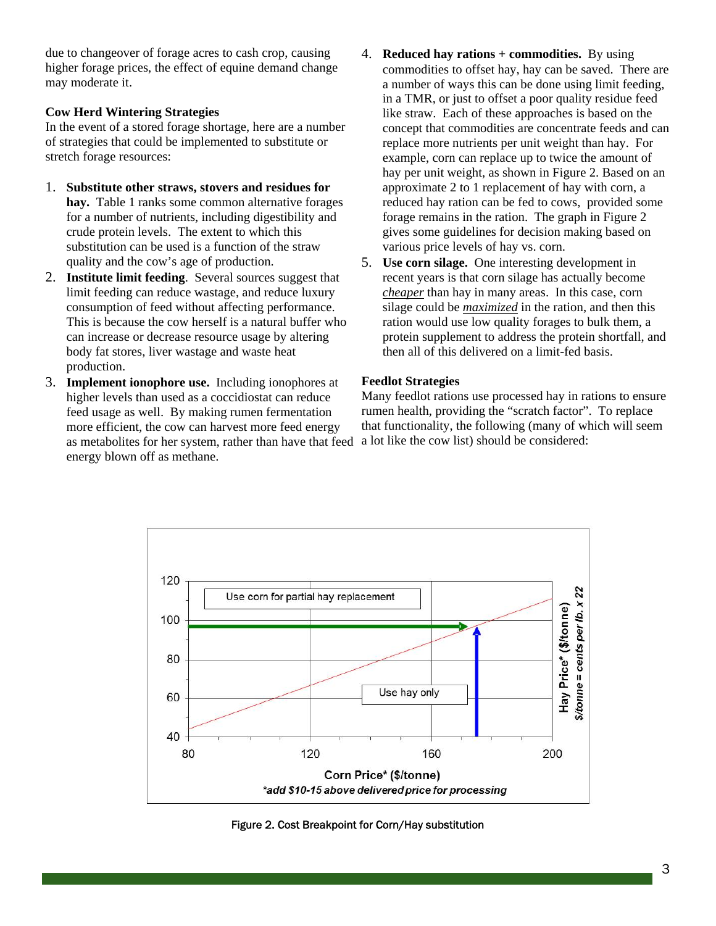due to changeover of forage acres to cash crop, causing higher forage prices, the effect of equine demand change may moderate it.

# **Cow Herd Wintering Strategies**

In the event of a stored forage shortage, here are a number of strategies that could be implemented to substitute or stretch forage resources:

- 1. **Substitute other straws, stovers and residues for**  hay. Table 1 ranks some common alternative forages for a number of nutrients, including digestibility and crude protein levels. The extent to which this substitution can be used is a function of the straw quality and the cow's age of production.
- 2. **Institute limit feeding**. Several sources suggest that limit feeding can reduce wastage, and reduce luxury consumption of feed without affecting performance. This is because the cow herself is a natural buffer who can increase or decrease resource usage by altering body fat stores, liver wastage and waste heat production.
- 3. **Implement ionophore use.** Including ionophores at higher levels than used as a coccidiostat can reduce feed usage as well. By making rumen fermentation more efficient, the cow can harvest more feed energy as metabolites for her system, rather than have that feed energy blown off as methane.
- 4. **Reduced hay rations + commodities.** By using commodities to offset hay, hay can be saved. There are a number of ways this can be done using limit feeding, in a TMR, or just to offset a poor quality residue feed like straw. Each of these approaches is based on the concept that commodities are concentrate feeds and can replace more nutrients per unit weight than hay. For example, corn can replace up to twice the amount of hay per unit weight, as shown in Figure 2. Based on an approximate 2 to 1 replacement of hay with corn, a reduced hay ration can be fed to cows, provided some forage remains in the ration. The graph in Figure 2 gives some guidelines for decision making based on various price levels of hay vs. corn.
- 5. **Use corn silage.** One interesting development in recent years is that corn silage has actually become *cheaper* than hay in many areas. In this case, corn silage could be *maximized* in the ration, and then this ration would use low quality forages to bulk them, a protein supplement to address the protein shortfall, and then all of this delivered on a limit-fed basis.

# **Feedlot Strategies**

Many feedlot rations use processed hay in rations to ensure rumen health, providing the "scratch factor". To replace that functionality, the following (many of which will seem a lot like the cow list) should be considered:



Figure 2. Cost Breakpoint for Corn/Hay substitution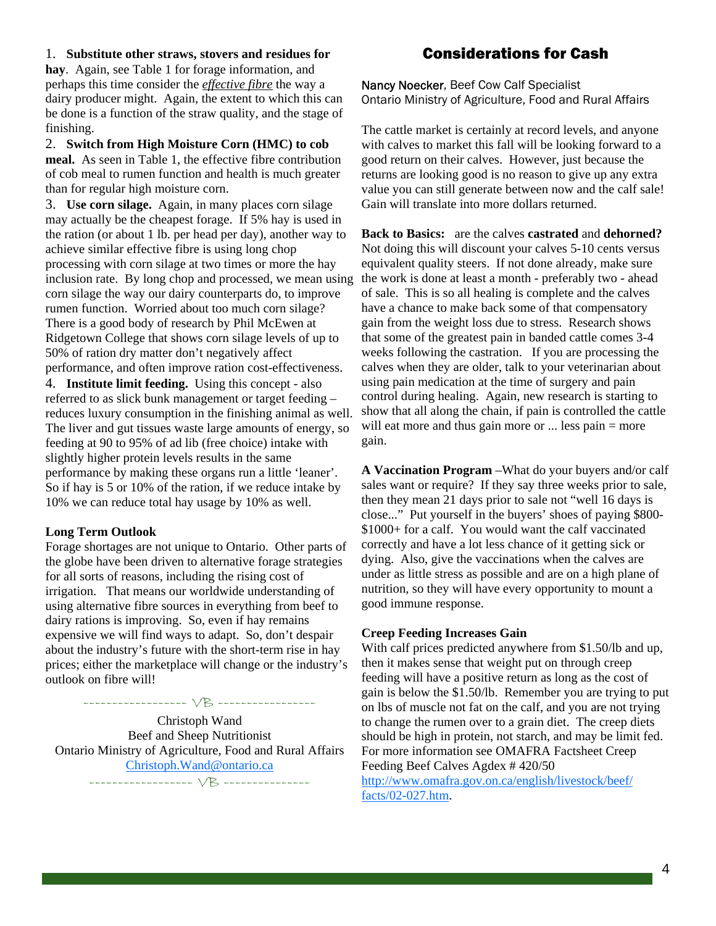#### 1. **Substitute other straws, stovers and residues for**

**hay**. Again, see Table 1 for forage information, and perhaps this time consider the *effective fibre* the way a dairy producer might. Again, the extent to which this can be done is a function of the straw quality, and the stage of finishing.

2. **Switch from High Moisture Corn (HMC) to cob meal.** As seen in Table 1, the effective fibre contribution of cob meal to rumen function and health is much greater

than for regular high moisture corn. 3. **Use corn silage.** Again, in many places corn silage may actually be the cheapest forage. If 5% hay is used in the ration (or about 1 lb. per head per day), another way to achieve similar effective fibre is using long chop processing with corn silage at two times or more the hay inclusion rate. By long chop and processed, we mean using corn silage the way our dairy counterparts do, to improve rumen function. Worried about too much corn silage? There is a good body of research by Phil McEwen at Ridgetown College that shows corn silage levels of up to 50% of ration dry matter don't negatively affect performance, and often improve ration cost-effectiveness. 4. **Institute limit feeding.** Using this concept - also referred to as slick bunk management or target feeding – reduces luxury consumption in the finishing animal as well. The liver and gut tissues waste large amounts of energy, so

feeding at 90 to 95% of ad lib (free choice) intake with slightly higher protein levels results in the same performance by making these organs run a little 'leaner'. So if hay is 5 or 10% of the ration, if we reduce intake by 10% we can reduce total hay usage by 10% as well.

#### **Long Term Outlook**

Forage shortages are not unique to Ontario. Other parts of the globe have been driven to alternative forage strategies for all sorts of reasons, including the rising cost of irrigation. That means our worldwide understanding of using alternative fibre sources in everything from beef to dairy rations is improving. So, even if hay remains expensive we will find ways to adapt. So, don't despair about the industry's future with the short-term rise in hay prices; either the marketplace will change or the industry's outlook on fibre will!

------------------ VB ----------------- Christoph Wand Beef and Sheep Nutritionist Ontario Ministry of Agriculture, Food and Rural Affairs Christoph.Wand@ontario.ca ------------------ VB ---------------

# Considerations for Cash

Nancy Noecker, Beef Cow Calf Specialist Ontario Ministry of Agriculture, Food and Rural Affairs

The cattle market is certainly at record levels, and anyone with calves to market this fall will be looking forward to a good return on their calves. However, just because the returns are looking good is no reason to give up any extra value you can still generate between now and the calf sale! Gain will translate into more dollars returned.

**Back to Basics:** are the calves **castrated** and **dehorned?** Not doing this will discount your calves 5-10 cents versus equivalent quality steers. If not done already, make sure the work is done at least a month - preferably two - ahead of sale. This is so all healing is complete and the calves have a chance to make back some of that compensatory gain from the weight loss due to stress. Research shows that some of the greatest pain in banded cattle comes 3-4 weeks following the castration. If you are processing the calves when they are older, talk to your veterinarian about using pain medication at the time of surgery and pain control during healing. Again, new research is starting to show that all along the chain, if pain is controlled the cattle will eat more and thus gain more or ... less pain = more gain.

**A Vaccination Program** –What do your buyers and/or calf sales want or require? If they say three weeks prior to sale, then they mean 21 days prior to sale not "well 16 days is close..." Put yourself in the buyers' shoes of paying \$800- \$1000+ for a calf. You would want the calf vaccinated correctly and have a lot less chance of it getting sick or dying. Also, give the vaccinations when the calves are under as little stress as possible and are on a high plane of nutrition, so they will have every opportunity to mount a good immune response.

#### **Creep Feeding Increases Gain**

With calf prices predicted anywhere from \$1.50/lb and up, then it makes sense that weight put on through creep feeding will have a positive return as long as the cost of gain is below the \$1.50/lb. Remember you are trying to put on lbs of muscle not fat on the calf, and you are not trying to change the rumen over to a grain diet. The creep diets should be high in protein, not starch, and may be limit fed. For more information see OMAFRA Factsheet Creep Feeding Beef Calves Agdex # 420/50 http://www.omafra.gov.on.ca/english/livestock/beef/ facts/02-027.htm.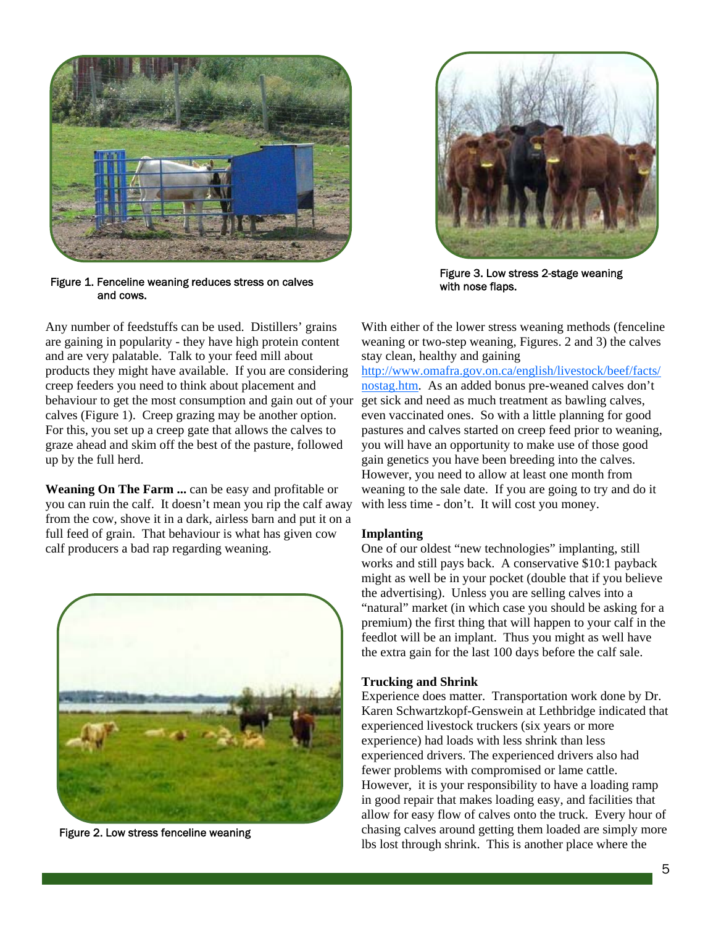

Figure 1. Fenceline weaning reduces stress on calves and cows.

Any number of feedstuffs can be used. Distillers' grains are gaining in popularity - they have high protein content and are very palatable. Talk to your feed mill about products they might have available. If you are considering creep feeders you need to think about placement and behaviour to get the most consumption and gain out of your calves (Figure 1). Creep grazing may be another option. For this, you set up a creep gate that allows the calves to graze ahead and skim off the best of the pasture, followed up by the full herd.

**Weaning On The Farm ...** can be easy and profitable or you can ruin the calf. It doesn't mean you rip the calf away from the cow, shove it in a dark, airless barn and put it on a full feed of grain. That behaviour is what has given cow calf producers a bad rap regarding weaning.



Figure 2. Low stress fenceline weaning



Figure 3. Low stress 2-stage weaning with nose flaps.

With either of the lower stress weaning methods (fenceline weaning or two-step weaning, Figures. 2 and 3) the calves stay clean, healthy and gaining

http://www.omafra.gov.on.ca/english/livestock/beef/facts/ nostag.htm. As an added bonus pre-weaned calves don't get sick and need as much treatment as bawling calves, even vaccinated ones. So with a little planning for good pastures and calves started on creep feed prior to weaning, you will have an opportunity to make use of those good gain genetics you have been breeding into the calves. However, you need to allow at least one month from weaning to the sale date. If you are going to try and do it with less time - don't. It will cost you money.

#### **Implanting**

One of our oldest "new technologies" implanting, still works and still pays back. A conservative \$10:1 payback might as well be in your pocket (double that if you believe the advertising). Unless you are selling calves into a "natural" market (in which case you should be asking for a premium) the first thing that will happen to your calf in the feedlot will be an implant. Thus you might as well have the extra gain for the last 100 days before the calf sale.

#### **Trucking and Shrink**

Experience does matter. Transportation work done by Dr. Karen Schwartzkopf-Genswein at Lethbridge indicated that experienced livestock truckers (six years or more experience) had loads with less shrink than less experienced drivers. The experienced drivers also had fewer problems with compromised or lame cattle. However, it is your responsibility to have a loading ramp in good repair that makes loading easy, and facilities that allow for easy flow of calves onto the truck. Every hour of chasing calves around getting them loaded are simply more lbs lost through shrink. This is another place where the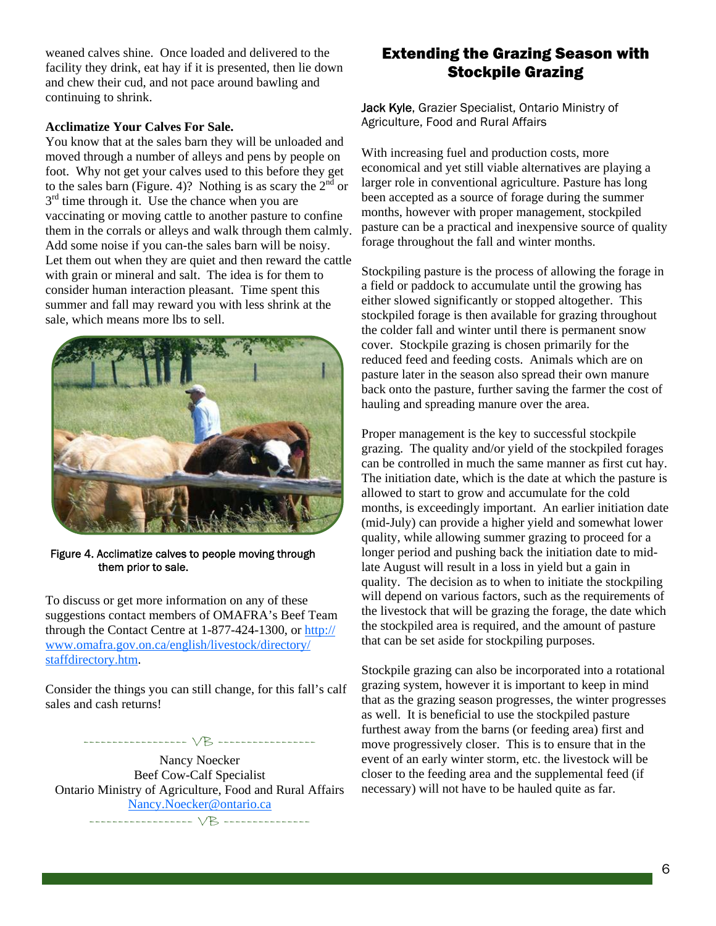weaned calves shine. Once loaded and delivered to the facility they drink, eat hay if it is presented, then lie down and chew their cud, and not pace around bawling and continuing to shrink.

## **Acclimatize Your Calves For Sale.**

You know that at the sales barn they will be unloaded and moved through a number of alleys and pens by people on foot. Why not get your calves used to this before they get to the sales barn (Figure. 4)? Nothing is as scary the  $2<sup>nd</sup>$  or  $3<sup>rd</sup>$  time through it. Use the chance when you are vaccinating or moving cattle to another pasture to confine them in the corrals or alleys and walk through them calmly. Add some noise if you can-the sales barn will be noisy. Let them out when they are quiet and then reward the cattle with grain or mineral and salt. The idea is for them to consider human interaction pleasant. Time spent this summer and fall may reward you with less shrink at the sale, which means more lbs to sell.



Figure 4. Acclimatize calves to people moving through them prior to sale.

To discuss or get more information on any of these suggestions contact members of OMAFRA's Beef Team through the Contact Centre at 1-877-424-1300, or http:// www.omafra.gov.on.ca/english/livestock/directory/ staffdirectory.htm.

Consider the things you can still change, for this fall's calf sales and cash returns!

------------------ VB ----------------- Nancy Noecker Beef Cow-Calf Specialist Ontario Ministry of Agriculture, Food and Rural Affairs Nancy.Noecker@ontario.ca

# ------------------ VB ---------------

# Extending the Grazing Season with Stockpile Grazing

Jack Kyle, Grazier Specialist, Ontario Ministry of Agriculture, Food and Rural Affairs

With increasing fuel and production costs, more economical and yet still viable alternatives are playing a larger role in conventional agriculture. Pasture has long been accepted as a source of forage during the summer months, however with proper management, stockpiled pasture can be a practical and inexpensive source of quality forage throughout the fall and winter months.

Stockpiling pasture is the process of allowing the forage in a field or paddock to accumulate until the growing has either slowed significantly or stopped altogether. This stockpiled forage is then available for grazing throughout the colder fall and winter until there is permanent snow cover. Stockpile grazing is chosen primarily for the reduced feed and feeding costs. Animals which are on pasture later in the season also spread their own manure back onto the pasture, further saving the farmer the cost of hauling and spreading manure over the area.

Proper management is the key to successful stockpile grazing. The quality and/or yield of the stockpiled forages can be controlled in much the same manner as first cut hay. The initiation date, which is the date at which the pasture is allowed to start to grow and accumulate for the cold months, is exceedingly important. An earlier initiation date (mid-July) can provide a higher yield and somewhat lower quality, while allowing summer grazing to proceed for a longer period and pushing back the initiation date to midlate August will result in a loss in yield but a gain in quality. The decision as to when to initiate the stockpiling will depend on various factors, such as the requirements of the livestock that will be grazing the forage, the date which the stockpiled area is required, and the amount of pasture that can be set aside for stockpiling purposes.

Stockpile grazing can also be incorporated into a rotational grazing system, however it is important to keep in mind that as the grazing season progresses, the winter progresses as well. It is beneficial to use the stockpiled pasture furthest away from the barns (or feeding area) first and move progressively closer. This is to ensure that in the event of an early winter storm, etc. the livestock will be closer to the feeding area and the supplemental feed (if necessary) will not have to be hauled quite as far.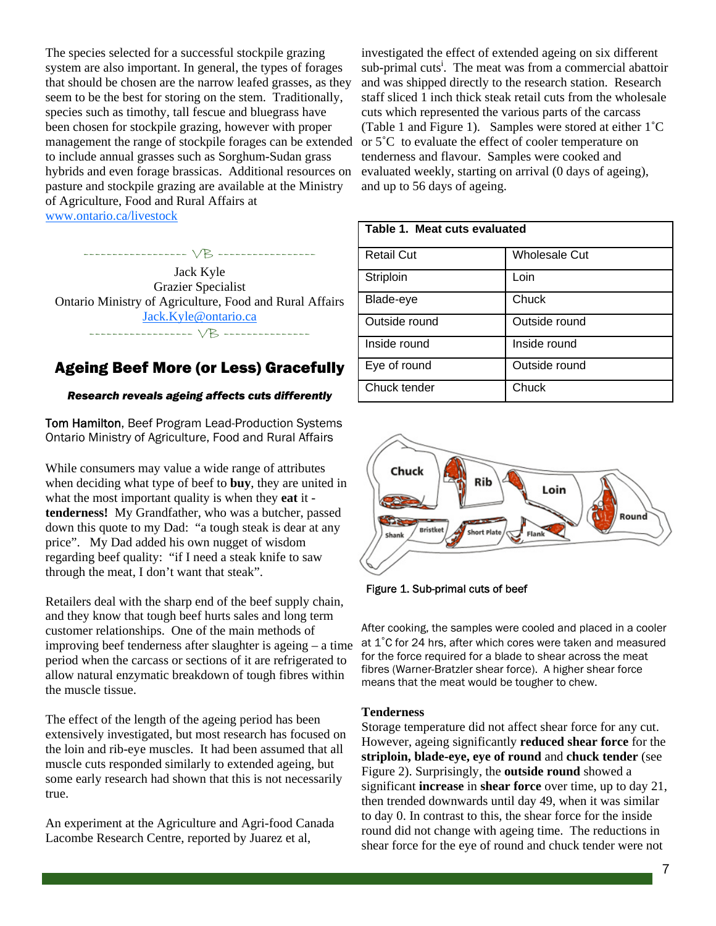The species selected for a successful stockpile grazing system are also important. In general, the types of forages that should be chosen are the narrow leafed grasses, as they seem to be the best for storing on the stem. Traditionally, species such as timothy, tall fescue and bluegrass have been chosen for stockpile grazing, however with proper management the range of stockpile forages can be extended to include annual grasses such as Sorghum-Sudan grass hybrids and even forage brassicas. Additional resources on pasture and stockpile grazing are available at the Ministry of Agriculture, Food and Rural Affairs at www.ontario.ca/livestock

Jack Kyle Grazier Specialist Ontario Ministry of Agriculture, Food and Rural Affairs Jack.Kyle@ontario.ca ------------------ VB ---------------

------------------ VB -----------------

# Ageing Beef More (or Less) Gracefully

## *Research reveals ageing affects cuts differently*

Tom Hamilton, Beef Program Lead-Production Systems Ontario Ministry of Agriculture, Food and Rural Affairs

While consumers may value a wide range of attributes when deciding what type of beef to **buy**, they are united in what the most important quality is when they **eat** it **tenderness!** My Grandfather, who was a butcher, passed down this quote to my Dad: "a tough steak is dear at any price". My Dad added his own nugget of wisdom regarding beef quality: "if I need a steak knife to saw through the meat, I don't want that steak".

Retailers deal with the sharp end of the beef supply chain, and they know that tough beef hurts sales and long term customer relationships. One of the main methods of improving beef tenderness after slaughter is ageing – a time period when the carcass or sections of it are refrigerated to allow natural enzymatic breakdown of tough fibres within the muscle tissue.

The effect of the length of the ageing period has been extensively investigated, but most research has focused on the loin and rib-eye muscles. It had been assumed that all muscle cuts responded similarly to extended ageing, but some early research had shown that this is not necessarily true.

An experiment at the Agriculture and Agri-food Canada Lacombe Research Centre, reported by Juarez et al,

investigated the effect of extended ageing on six different sub-primal cuts<sup>i</sup>. The meat was from a commercial abattoir and was shipped directly to the research station. Research staff sliced 1 inch thick steak retail cuts from the wholesale cuts which represented the various parts of the carcass (Table 1 and Figure 1). Samples were stored at either 1˚C or 5˚C to evaluate the effect of cooler temperature on tenderness and flavour. Samples were cooked and evaluated weekly, starting on arrival (0 days of ageing), and up to 56 days of ageing.

| Table 1. Meat cuts evaluated |                      |  |  |
|------------------------------|----------------------|--|--|
| <b>Retail Cut</b>            | <b>Wholesale Cut</b> |  |  |
| Striploin                    | Loin                 |  |  |
| Blade-eye                    | Chuck                |  |  |
| Outside round                | Outside round        |  |  |
| Inside round                 | Inside round         |  |  |
| Eye of round                 | Outside round        |  |  |
| Chuck tender                 | Chuck                |  |  |



Figure 1. Sub-primal cuts of beef

After cooking, the samples were cooled and placed in a cooler at 1˚C for 24 hrs, after which cores were taken and measured for the force required for a blade to shear across the meat fibres (Warner-Bratzler shear force). A higher shear force means that the meat would be tougher to chew.

#### **Tenderness**

Storage temperature did not affect shear force for any cut. However, ageing significantly **reduced shear force** for the **striploin, blade-eye, eye of round** and **chuck tender** (see Figure 2). Surprisingly, the **outside round** showed a significant **increase** in **shear force** over time, up to day 21, then trended downwards until day 49, when it was similar to day 0. In contrast to this, the shear force for the inside round did not change with ageing time. The reductions in shear force for the eye of round and chuck tender were not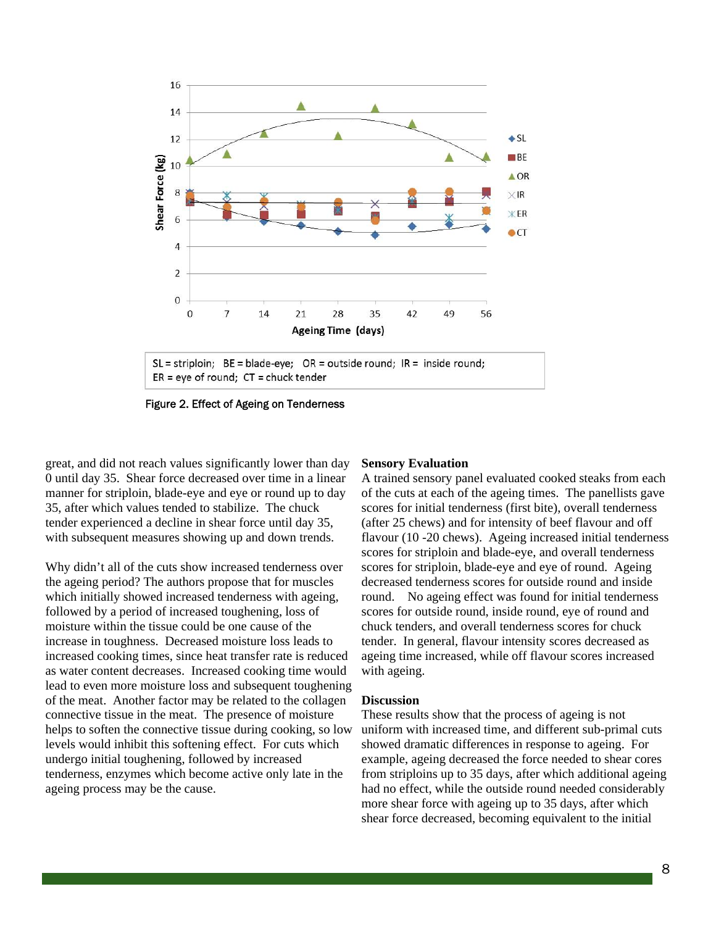

Figure 2. Effect of Ageing on Tenderness

great, and did not reach values significantly lower than day 0 until day 35. Shear force decreased over time in a linear manner for striploin, blade-eye and eye or round up to day 35, after which values tended to stabilize. The chuck tender experienced a decline in shear force until day 35, with subsequent measures showing up and down trends.

Why didn't all of the cuts show increased tenderness over the ageing period? The authors propose that for muscles which initially showed increased tenderness with ageing, followed by a period of increased toughening, loss of moisture within the tissue could be one cause of the increase in toughness. Decreased moisture loss leads to increased cooking times, since heat transfer rate is reduced as water content decreases. Increased cooking time would lead to even more moisture loss and subsequent toughening of the meat. Another factor may be related to the collagen connective tissue in the meat. The presence of moisture helps to soften the connective tissue during cooking, so low levels would inhibit this softening effect. For cuts which undergo initial toughening, followed by increased tenderness, enzymes which become active only late in the ageing process may be the cause.

#### **Sensory Evaluation**

A trained sensory panel evaluated cooked steaks from each of the cuts at each of the ageing times. The panellists gave scores for initial tenderness (first bite), overall tenderness (after 25 chews) and for intensity of beef flavour and off flavour (10 -20 chews). Ageing increased initial tenderness scores for striploin and blade-eye, and overall tenderness scores for striploin, blade-eye and eye of round. Ageing decreased tenderness scores for outside round and inside round. No ageing effect was found for initial tenderness scores for outside round, inside round, eye of round and chuck tenders, and overall tenderness scores for chuck tender. In general, flavour intensity scores decreased as ageing time increased, while off flavour scores increased with ageing.

#### **Discussion**

These results show that the process of ageing is not uniform with increased time, and different sub-primal cuts showed dramatic differences in response to ageing. For example, ageing decreased the force needed to shear cores from striploins up to 35 days, after which additional ageing had no effect, while the outside round needed considerably more shear force with ageing up to 35 days, after which shear force decreased, becoming equivalent to the initial